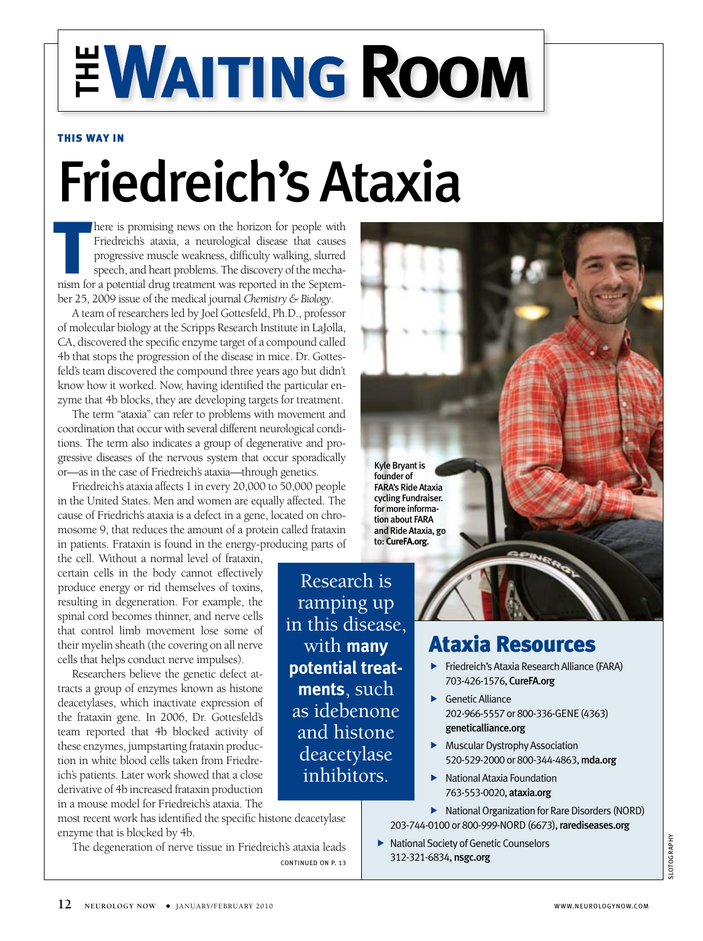# **EWAITING ROOM**

#### This way in

## Friedreich's Ataxia

here is promising news on the horizon for people with Friedreich's ataxia, a neurological disease that causes progressive muscle weakness, difficulty walking, slurred speech, and heart problems. The discovery of the mechan here is promising news on the horizon for people with Friedreich's ataxia, a neurological disease that causes progressive muscle weakness, difficulty walking, slurred speech, and heart problems. The discovery of the mechaber 25, 2009 issue of the medical journal *Chemistry & Biology*.

A team of researchers led by Joel Gottesfeld, Ph.D., professor of molecular biology at the Scripps Research Institute in LaJolla, CA, discovered the specific enzyme target of a compound called 4b that stops the progression of the disease in mice. Dr. Gottesfeld's team discovered the compound three years ago but didn't know how it worked. Now, having identified the particular enzyme that 4b blocks, they are developing targets for treatment.

The term "ataxia" can refer to problems with movement and coordination that occur with several different neurological conditions. The term also indicates a group of degenerative and progressive diseases of the nervous system that occur sporadically or—as in the case of Friedreich's ataxia—through genetics.

Friedreich's ataxia affects 1 in every 20,000 to 50,000 people in the United States. Men and women are equally affected. The cause of Friedrich's ataxia is a defect in a gene, located on chromosome 9, that reduces the amount of a protein called frataxin in patients. Frataxin is found in the energy-producing parts of

the cell. Without a normal level of frataxin, certain cells in the body cannot effectively produce energy or rid themselves of toxins, resulting in degeneration. For example, the spinal cord becomes thinner, and nerve cells that control limb movement lose some of their myelin sheath (the covering on all nerve cells that helps conduct nerve impulses).

Researchers believe the genetic defect attracts a group of enzymes known as histone deacetylases, which inactivate expression of the frataxin gene. In 2006, Dr. Gottesfeld's team reported that 4b blocked activity of these enzymes, jumpstarting frataxin production in white blood cells taken from Friedreich's patients. Later work showed that a close derivative of 4b increased frataxin production in a mouse model for Friedreich's ataxia. The

most recent work has identified the specific histone deacetylase enzyme that is blocked by 4b.

The degeneration of nerve tissue in Friedreich's ataxia leads continued on p. 13

Kyle Bryant is founder of FARA's Ride Ataxia cycling Fundraiser. for more information about FARA and Ride Ataxia, go to: **CureFA.org**.

#### Research is ramping up in this disease, with **many potential treatments**, such as idebenone and histone deacetylase inhibitors.

### Ataxia Resources

 Friedreich's Ataxia Research Alliance (FARA) 703-426-1576, CureFA.org

SPINES

- Genetic Alliance 202-966-5557 or 800-336-GENE (4363) geneticalliance.org
- Muscular Dystrophy Association 520-529-2000 or 800-344-4863, mda.org
- National Ataxia Foundation 763-553-0020, ataxia.org
- ▶ National Organization for Rare Disorders (NORD) 203-744-0100 or 800-999-NORD (6673), rarediseases.org
- ▶ National Society of Genetic Counselors 312-321-6834, nsgc.org

SLOTOGRAPHY LOTOGRAPHY